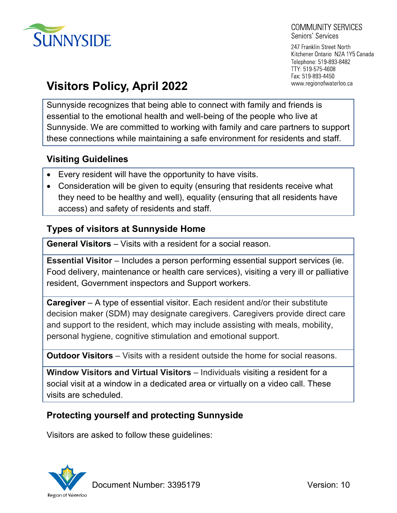

#### COMMUNITY SERVICES Seniors' Services

247 Franklin Street North Kitchener Ontario N2A 1Y5 Canada Telephone: 519-893-8482 TTY: 519-575-4608 Fax: 519-893-4450 www.regionofwaterloo.ca

# **Visitors Policy, April 2022**

Sunnyside recognizes that being able to connect with family and friends is essential to the emotional health and well-being of the people who live at Sunnyside. We are committed to working with family and care partners to support these connections while maintaining a safe environment for residents and staff.

# **Visiting Guidelines**

- Every resident will have the opportunity to have visits.
- Consideration will be given to equity (ensuring that residents receive what they need to be healthy and well), equality (ensuring that all residents have access) and safety of residents and staff.

# **Types of visitors at Sunnyside Home**

**General Visitors** – Visits with a resident for a social reason.

**Essential Visitor** – Includes a person performing essential support services (ie. Food delivery, maintenance or health care services), visiting a very ill or palliative resident, Government inspectors and Support workers.

**Caregiver** – A type of essential visitor. Each resident and/or their substitute decision maker (SDM) may designate caregivers. Caregivers provide direct care and support to the resident, which may include assisting with meals, mobility, personal hygiene, cognitive stimulation and emotional support.

**Outdoor Visitors** – Visits with a resident outside the home for social reasons.

**Window Visitors and Virtual Visitors** – Individuals visiting a resident for a social visit at a window in a dedicated area or virtually on a video call. These visits are scheduled.

# **Protecting yourself and protecting Sunnyside**

Visitors are asked to follow these guidelines:



Document Number: 3395179 Version: 10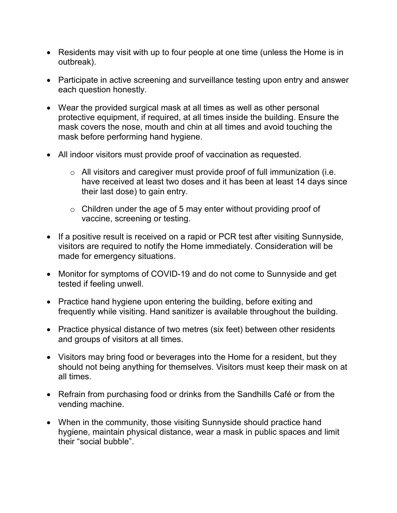- Residents may visit with up to four people at one time (unless the Home is in outbreak).
- Participate in active screening and surveillance testing upon entry and answer each question honestly.
- Wear the provided surgical mask at all times as well as other personal protective equipment, if required, at all times inside the building. Ensure the mask covers the nose, mouth and chin at all times and avoid touching the mask before performing hand hygiene.
- All indoor visitors must provide proof of vaccination as requested.
	- $\circ$  All visitors and caregiver must provide proof of full immunization (i.e. have received at least two doses and it has been at least 14 days since their last dose) to gain entry.
	- $\circ$  Children under the age of 5 may enter without providing proof of vaccine, screening or testing.
- If a positive result is received on a rapid or PCR test after visiting Sunnyside, visitors are required to notify the Home immediately. Consideration will be made for emergency situations.
- Monitor for symptoms of COVID-19 and do not come to Sunnyside and get tested if feeling unwell.
- Practice hand hygiene upon entering the building, before exiting and frequently while visiting. Hand sanitizer is available throughout the building.
- Practice physical distance of two metres (six feet) between other residents and groups of visitors at all times.
- Visitors may bring food or beverages into the Home for a resident, but they should not being anything for themselves. Visitors must keep their mask on at all times.
- Refrain from purchasing food or drinks from the Sandhills Café or from the vending machine.
- When in the community, those visiting Sunnyside should practice hand hygiene, maintain physical distance, wear a mask in public spaces and limit their "social bubble".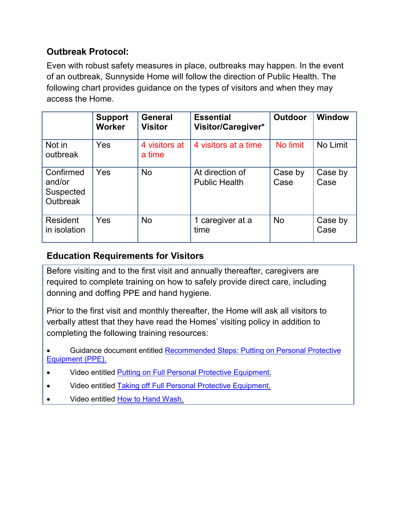# **Outbreak Protocol:**

Even with robust safety measures in place, outbreaks may happen. In the event of an outbreak, Sunnyside Home will follow the direction of Public Health. The following chart provides guidance on the types of visitors and when they may access the Home.

|                                                     | <b>Support</b><br><b>Worker</b> | <b>General</b><br><b>Visitor</b> | <b>Essential</b><br>Visitor/Caregiver*  | <b>Outdoor</b>  | Window          |
|-----------------------------------------------------|---------------------------------|----------------------------------|-----------------------------------------|-----------------|-----------------|
| Not in<br>outbreak                                  | Yes                             | 4 visitors at<br>a time          | 4 visitors at a time                    | No limit        | No Limit        |
| Confirmed<br>and/or<br>Suspected<br><b>Outbreak</b> | Yes                             | <b>No</b>                        | At direction of<br><b>Public Health</b> | Case by<br>Case | Case by<br>Case |
| <b>Resident</b><br>in isolation                     | Yes                             | <b>No</b>                        | 1 caregiver at a<br>time                | <b>No</b>       | Case by<br>Case |

# **Education Requirements for Visitors**

Before visiting and to the first visit and annually thereafter, caregivers are required to complete training on how to safely provide direct care, including donning and doffing PPE and hand hygiene.

Prior to the first visit and monthly thereafter, the Home will ask all visitors to verbally attest that they have read the Homes' visiting policy in addition to completing the following training resources:

• Guidance document entitled [Recommended Steps: Putting on Personal Protective](https://www.publichealthontario.ca/-/media/documents/ncov/ipac/ppe-recommended-steps)  [Equipment \(PPE\).](https://www.publichealthontario.ca/-/media/documents/ncov/ipac/ppe-recommended-steps) 

- Video entitled [Putting on Full Personal Protective Equipment.](https://www.publichealthontario.ca/en/videos/ipac-fullppe-on)
- Video entitled [Taking off Full Personal Protective Equipment.](https://www.publichealthontario.ca/en/videos/ipac-fullppe-off)
- Video entitled [How to Hand Wash.](https://www.publichealthontario.ca/en/videos/ipac-handwash)